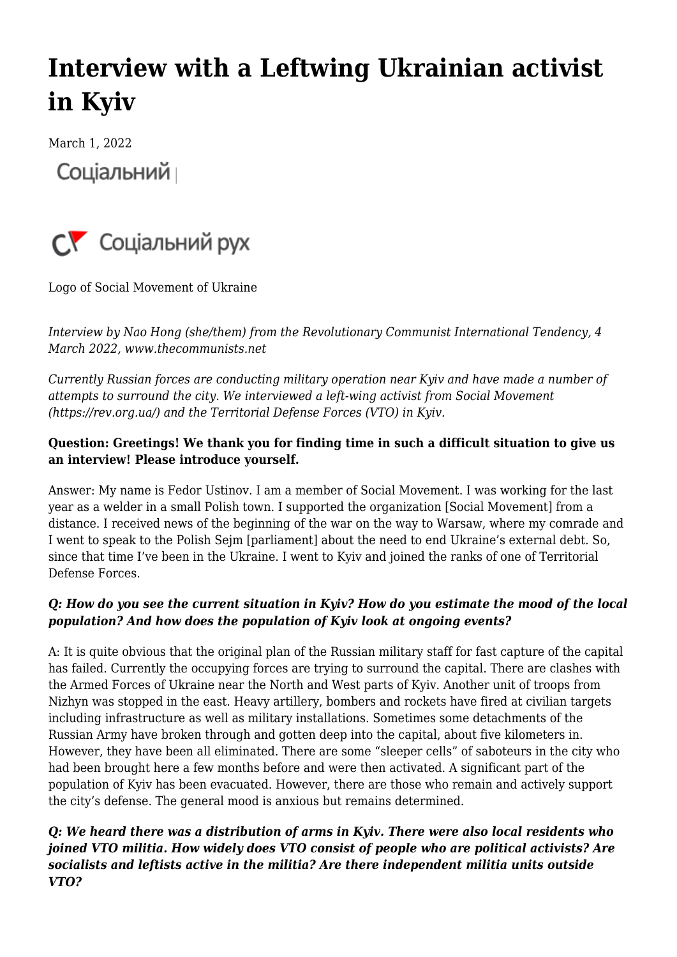# **[Interview with a Leftwing Ukrainian activist](https://newpol.org/interview-with-a-leftwing-ukrainian-activist-in-kyiv/) [in Kyiv](https://newpol.org/interview-with-a-leftwing-ukrainian-activist-in-kyiv/)**

March 1, 2022 Соціальний



Logo of Social Movement of Ukraine

*Interview by Nao Hong (she/them) from the Revolutionary Communist International Tendency, 4 March 2022, [www.thecommunists.net](http://www.thecommunists.net)*

*Currently Russian forces are conducting military operation near Kyiv and have made a number of attempts to surround the city. We interviewed a left-wing activist from Social Movement [\(https://rev.org.ua/](https://rev.org.ua/)) and the Territorial Defense Forces (VTO) in Kyiv.*

### **Question: Greetings! We thank you for finding time in such a difficult situation to give us an interview! Please introduce yourself.**

Answer: My name is Fedor Ustinov. I am a member of Social Movement. I was working for the last year as a welder in a small Polish town. I supported the organization [Social Movement] from a distance. I received news of the beginning of the war on the way to Warsaw, where my comrade and I went to speak to the Polish Sejm [parliament] about the need to end Ukraine's external debt. So, since that time I've been in the Ukraine. I went to Kyiv and joined the ranks of one of Territorial Defense Forces.

#### *Q: How do you see the current situation in Kyiv? How do you estimate the mood of the local population? And how does the population of Kyiv look at ongoing events?*

A: It is quite obvious that the original plan of the Russian military staff for fast capture of the capital has failed. Currently the occupying forces are trying to surround the capital. There are clashes with the Armed Forces of Ukraine near the North and West parts of Kyiv. Another unit of troops from Nizhyn was stopped in the east. Heavy artillery, bombers and rockets have fired at civilian targets including infrastructure as well as military installations. Sometimes some detachments of the Russian Army have broken through and gotten deep into the capital, about five kilometers in. However, they have been all eliminated. There are some "sleeper cells" of saboteurs in the city who had been brought here a few months before and were then activated. A significant part of the population of Kyiv has been evacuated. However, there are those who remain and actively support the city's defense. The general mood is anxious but remains determined.

### *Q: We heard there was a distribution of arms in Kyiv. There were also local residents who joined VTO militia. How widely does VTO consist of people who are political activists? Are socialists and leftists active in the militia? Are there independent militia units outside VTO?*